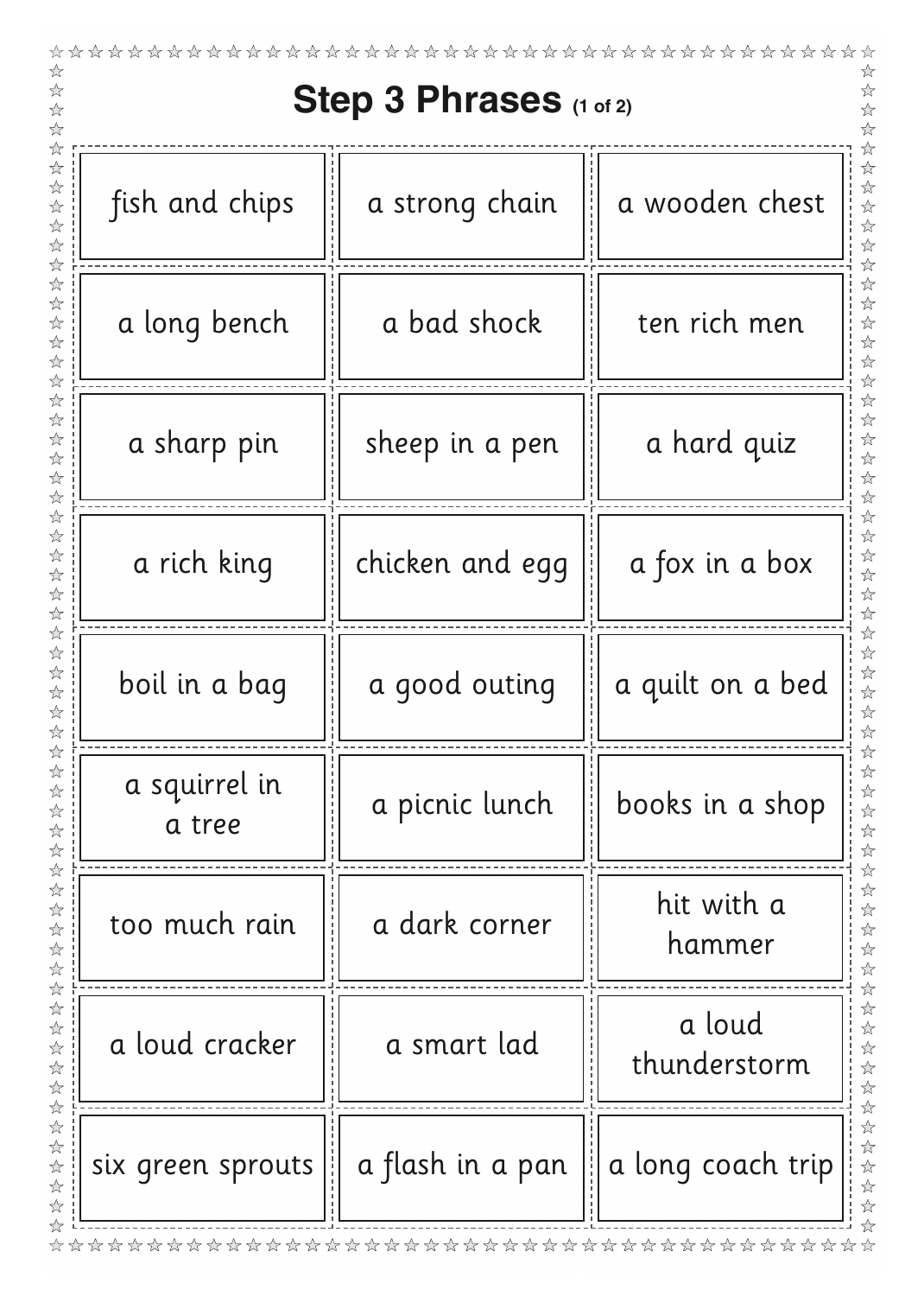| Step 3 Phrases (1 of 2) |                  |                        |
|-------------------------|------------------|------------------------|
| fish and chips          | a strong chain   | a wooden chest         |
| a long bench            | a bad shock      | ten rich men           |
| a sharp pin             | sheep in a pen   | a hard quiz            |
| a rich king             | chicken and egg  | a fox in a box         |
| boil in a bag           | a good outing    | a quilt on a bed       |
| a squirrel in<br>a tree | a picnic lunch   | books in a shop        |
| too much rain           | a dark corner    | hit with a<br>hammer   |
| a loud cracker          | a smart lad      | a loud<br>thunderstorm |
| six green sprouts       | a flash in a pan | a long coach trip      |